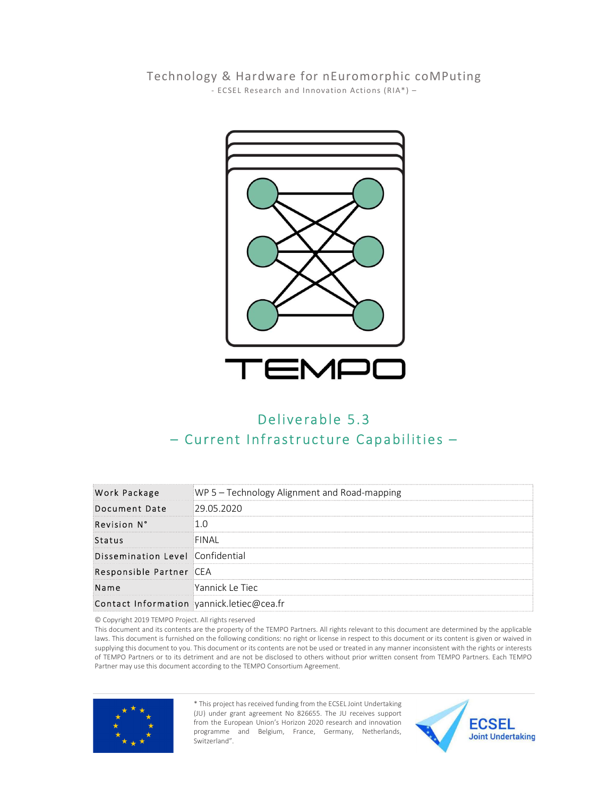Technology & Hardware for nEuromorphic coMPuting<br>FCSEL Research and Innovation Actions (RIA\*) -



| TEMPO<br>Deliverable 5.3<br>- Current Infrastructure Capabilities -                                                                                                                                                                                                                                                                                                                                                                                                                                                                                                                                                                                                                                                                   |                                              |
|---------------------------------------------------------------------------------------------------------------------------------------------------------------------------------------------------------------------------------------------------------------------------------------------------------------------------------------------------------------------------------------------------------------------------------------------------------------------------------------------------------------------------------------------------------------------------------------------------------------------------------------------------------------------------------------------------------------------------------------|----------------------------------------------|
| <b>Work Package</b>                                                                                                                                                                                                                                                                                                                                                                                                                                                                                                                                                                                                                                                                                                                   | WP 5 - Technology Alignment and Road-mapping |
| Document Date                                                                                                                                                                                                                                                                                                                                                                                                                                                                                                                                                                                                                                                                                                                         | 29.05.2020                                   |
| Revision N°                                                                                                                                                                                                                                                                                                                                                                                                                                                                                                                                                                                                                                                                                                                           | 1.0                                          |
| <b>Status</b>                                                                                                                                                                                                                                                                                                                                                                                                                                                                                                                                                                                                                                                                                                                         | <b>FINAI</b>                                 |
| Dissemination Level Confidential                                                                                                                                                                                                                                                                                                                                                                                                                                                                                                                                                                                                                                                                                                      |                                              |
| Responsible Partner CEA                                                                                                                                                                                                                                                                                                                                                                                                                                                                                                                                                                                                                                                                                                               |                                              |
| Name                                                                                                                                                                                                                                                                                                                                                                                                                                                                                                                                                                                                                                                                                                                                  | Yannick Le Tiec                              |
| Contact Information yannick.letiec@cea.fr                                                                                                                                                                                                                                                                                                                                                                                                                                                                                                                                                                                                                                                                                             |                                              |
| © Copyright 2019 TEMPO Project. All rights reserved<br>This document and its contents are the property of the TEMPO Partners. All rights relevant to this document are determined by the applicable<br>laws. This document is furnished on the following conditions: no right or license in respect to this document or its content is given or waived in<br>supplying this document to you. This document or its contents are not be used or treated in any manner inconsistent with the rights or interests<br>of TEMPO Partners or to its detriment and are not be disclosed to others without prior written consent from TEMPO Partners. Each TEMPO<br>Partner may use this document according to the TEMPO Consortium Agreement. |                                              |



\* This project has received funding from the ECSEL Joint Undertaking (JU) under grant agreement No 826655. The JU receives support from the European Union's Horizon 2020 research and innovation **ECSEL** programme and Belgium, France, Germany, Netherlands, Joint Undertaking Switzerland".